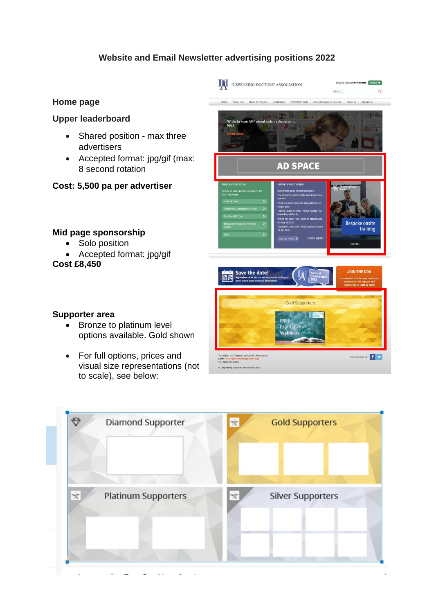# **Website and Email Newsletter advertising positions 2022**



#### **Upper leaderboard**

- Shared position max three advertisers
- Accepted format: jpg/gif (max: 8 second rotation
- **Cost: 5,500 pa per advertiser**

### **Mid page sponsorship**

- Solo position
- Accepted format: jpg/gif

**Cost £8,450**



**Supporter area**

- Bronze to platinum level options available. Gold shown
- For full options, prices and visual size representations (not to scale), see below:



C Dispensing Doctors' Association 202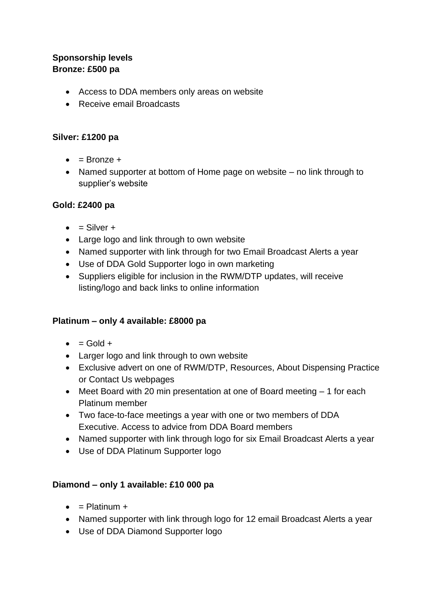# **Sponsorship levels Bronze: £500 pa**

- Access to DDA members only areas on website
- Receive email Broadcasts

## **Silver: £1200 pa**

- $\bullet$  = Bronze +
- Named supporter at bottom of Home page on website no link through to supplier's website

## **Gold: £2400 pa**

- $\bullet$  = Silver +
- Large logo and link through to own website
- Named supporter with link through for two Email Broadcast Alerts a year
- Use of DDA Gold Supporter logo in own marketing
- Suppliers eligible for inclusion in the RWM/DTP updates, will receive listing/logo and back links to online information

# **Platinum – only 4 available: £8000 pa**

- $\bullet$  = Gold +
- Larger logo and link through to own website
- Exclusive advert on one of RWM/DTP, Resources, About Dispensing Practice or Contact Us webpages
- Meet Board with 20 min presentation at one of Board meeting 1 for each Platinum member
- Two face-to-face meetings a year with one or two members of DDA Executive. Access to advice from DDA Board members
- Named supporter with link through logo for six Email Broadcast Alerts a year
- Use of DDA Platinum Supporter logo

### **Diamond – only 1 available: £10 000 pa**

- $\bullet$  = Platinum +
- Named supporter with link through logo for 12 email Broadcast Alerts a year
- Use of DDA Diamond Supporter logo